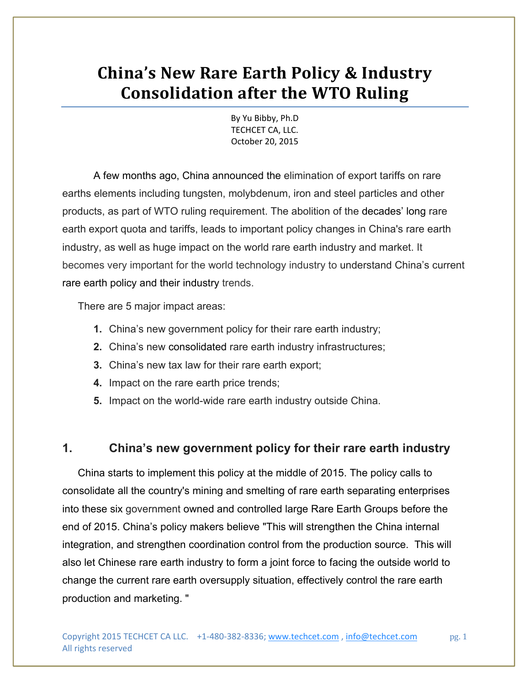# **China's New Rare Earth Policy & Industry Consolidation after the WTO Ruling**

By Yu Bibby, Ph.D TECHCET CA, LLC. October 20, 2015

 A few months ago, China announced the elimination of export tariffs on rare earths elements including tungsten, molybdenum, iron and steel particles and other products, as part of WTO ruling requirement. The abolition of the decades' long rare earth export quota and tariffs, leads to important policy changes in China's rare earth industry, as well as huge impact on the world rare earth industry and market. It becomes very important for the world technology industry to understand China's current rare earth policy and their industry trends.

There are 5 major impact areas:

- **1.** China's new government policy for their rare earth industry;
- **2.** China's new consolidated rare earth industry infrastructures;
- **3.** China's new tax law for their rare earth export;
- **4.** Impact on the rare earth price trends;
- **5.** Impact on the world-wide rare earth industry outside China.

# **1. China's new government policy for their rare earth industry**

China starts to implement this policy at the middle of 2015. The policy calls to consolidate all the country's mining and smelting of rare earth separating enterprises into these six government owned and controlled large Rare Earth Groups before the end of 2015. China's policy makers believe "This will strengthen the China internal integration, and strengthen coordination control from the production source. This will also let Chinese rare earth industry to form a joint force to facing the outside world to change the current rare earth oversupply situation, effectively control the rare earth production and marketing. "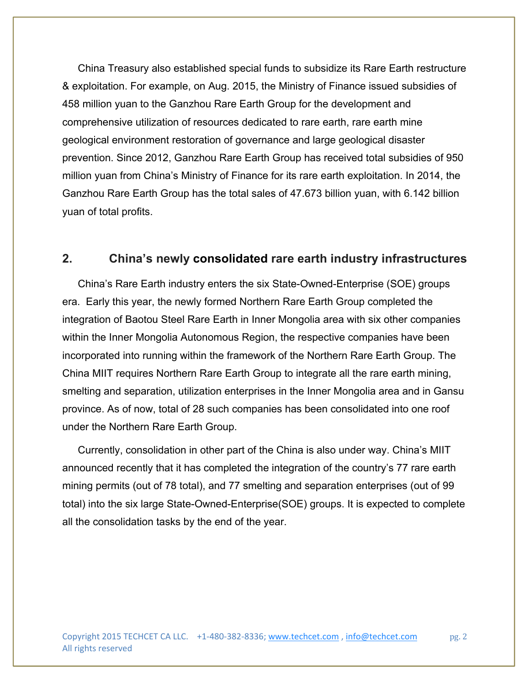China Treasury also established special funds to subsidize its Rare Earth restructure & exploitation. For example, on Aug. 2015, the Ministry of Finance issued subsidies of 458 million yuan to the Ganzhou Rare Earth Group for the development and comprehensive utilization of resources dedicated to rare earth, rare earth mine geological environment restoration of governance and large geological disaster prevention. Since 2012, Ganzhou Rare Earth Group has received total subsidies of 950 million yuan from China's Ministry of Finance for its rare earth exploitation. In 2014, the Ganzhou Rare Earth Group has the total sales of 47.673 billion yuan, with 6.142 billion yuan of total profits.

# **2. China's newly consolidated rare earth industry infrastructures**

China's Rare Earth industry enters the six State-Owned-Enterprise (SOE) groups era. Early this year, the newly formed Northern Rare Earth Group completed the integration of Baotou Steel Rare Earth in Inner Mongolia area with six other companies within the Inner Mongolia Autonomous Region, the respective companies have been incorporated into running within the framework of the Northern Rare Earth Group. The China MIIT requires Northern Rare Earth Group to integrate all the rare earth mining, smelting and separation, utilization enterprises in the Inner Mongolia area and in Gansu province. As of now, total of 28 such companies has been consolidated into one roof under the Northern Rare Earth Group.

Currently, consolidation in other part of the China is also under way. China's MIIT announced recently that it has completed the integration of the country's 77 rare earth mining permits (out of 78 total), and 77 smelting and separation enterprises (out of 99 total) into the six large State-Owned-Enterprise(SOE) groups. It is expected to complete all the consolidation tasks by the end of the year.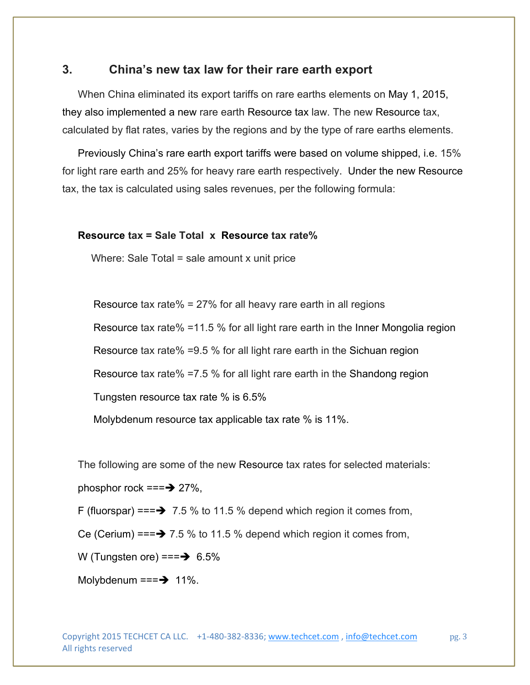### **3. China's new tax law for their rare earth export**

When China eliminated its export tariffs on rare earths elements on May 1, 2015, they also implemented a new rare earth Resource tax law. The new Resource tax, calculated by flat rates, varies by the regions and by the type of rare earths elements.

Previously China's rare earth export tariffs were based on volume shipped, i.e. 15% for light rare earth and 25% for heavy rare earth respectively. Under the new Resource tax, the tax is calculated using sales revenues, per the following formula:

#### **Resource tax = Sale Total x Resource tax rate%**

Where: Sale Total = sale amount x unit price

Resource tax rate% = 27% for all heavy rare earth in all regions

Resource tax rate% =11.5 % for all light rare earth in the Inner Mongolia region

Resource tax rate% =9.5 % for all light rare earth in the Sichuan region

Resource tax rate% =7.5 % for all light rare earth in the Shandong region

Tungsten resource tax rate % is 6.5%

Molybdenum resource tax applicable tax rate % is 11%.

The following are some of the new Resource tax rates for selected materials:

phosphor rock  $== \rightarrow 27\%$ ,

F (fluorspar) === $\rightarrow$  7.5 % to 11.5 % depend which region it comes from,

Ce (Cerium) === $\rightarrow$  7.5 % to 11.5 % depend which region it comes from,

W (Tungsten ore) === $\rightarrow$  6.5%

Molybdenum  $==$  11%.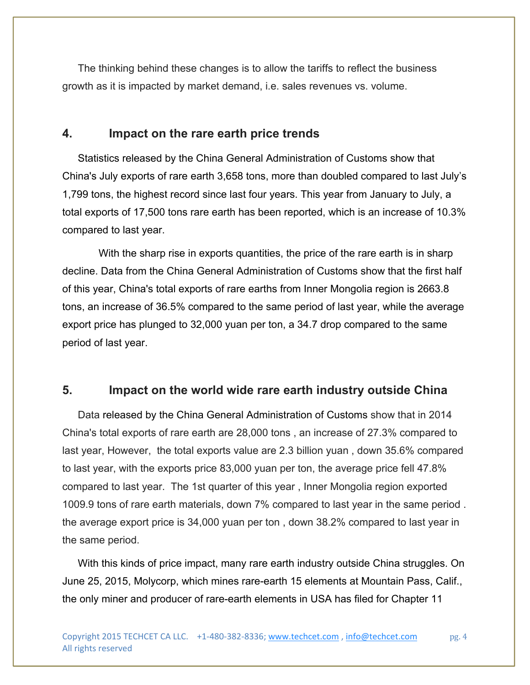The thinking behind these changes is to allow the tariffs to reflect the business growth as it is impacted by market demand, i.e. sales revenues vs. volume.

#### **4. Impact on the rare earth price trends**

Statistics released by the China General Administration of Customs show that China's July exports of rare earth 3,658 tons, more than doubled compared to last July's 1,799 tons, the highest record since last four years. This year from January to July, a total exports of 17,500 tons rare earth has been reported, which is an increase of 10.3% compared to last year.

 With the sharp rise in exports quantities, the price of the rare earth is in sharp decline. Data from the China General Administration of Customs show that the first half of this year, China's total exports of rare earths from Inner Mongolia region is 2663.8 tons, an increase of 36.5% compared to the same period of last year, while the average export price has plunged to 32,000 yuan per ton, a 34.7 drop compared to the same period of last year.

#### **5. Impact on the world wide rare earth industry outside China**

Data released by the China General Administration of Customs show that in 2014 China's total exports of rare earth are 28,000 tons , an increase of 27.3% compared to last year, However, the total exports value are 2.3 billion yuan , down 35.6% compared to last year, with the exports price 83,000 yuan per ton, the average price fell 47.8% compared to last year. The 1st quarter of this year , Inner Mongolia region exported 1009.9 tons of rare earth materials, down 7% compared to last year in the same period . the average export price is 34,000 yuan per ton , down 38.2% compared to last year in the same period.

With this kinds of price impact, many rare earth industry outside China struggles. On June 25, 2015, Molycorp, which mines rare-earth 15 elements at Mountain Pass, Calif., the only miner and producer of rare-earth elements in USA has filed for Chapter 11